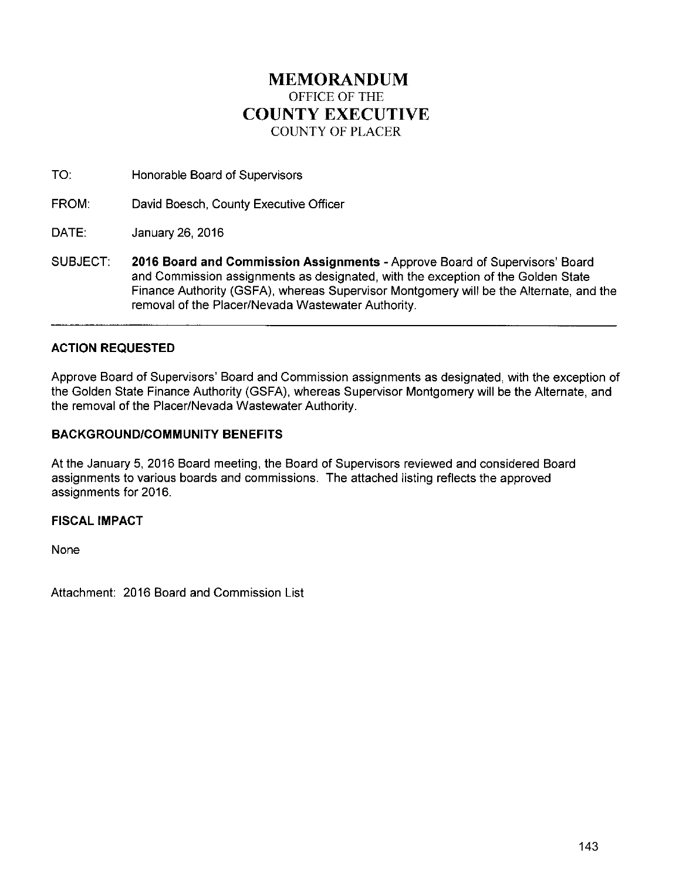# **MEMORANDUM**  OFFICE OF THE **COUNTY EXECUTIVE**  COUNTY OF PLACER

TO: Honorable Board of Supervisors

FROM: David Boesch, County Executive Officer

DATE: January 26, 2016

SUBJECT: **2016 Board and Commission Assignments-** Approve Board of Supervisors' Board and Commission assignments as designated, with the exception of the Golden State Finance Authority (GSFA), whereas Supervisor Montgomery will be the Alternate, and the removal of the Placer/Nevada Wastewater Authority.

## **ACTION REQUESTED**

Approve Board of Supervisors' Board and Commission assignments as designated, with the exception of the Golden State Finance Authority (GSFA), whereas Supervisor Montgomery will be the Alternate, and the removal of the Placer/Nevada Wastewater Authority.

## **BACKGROUND/COMMUNITY BENEFITS**

At the January 5, 2016 Board meeting, the Board of Supervisors reviewed and considered Board assignments to various boards and commissions. The attached listing reflects the approved assignments for 2016.

## **FISCAL IMPACT**

None

Attachment: 2016 Board and Commission List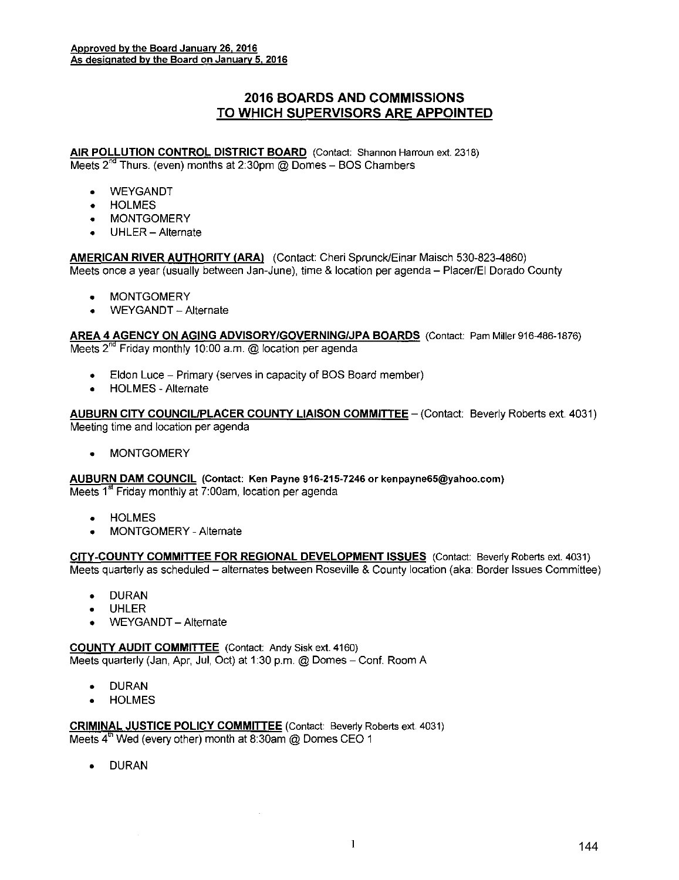## **2016 BOARDS AND COMMISSIONS TO WHICH SUPERVISORS ARE APPOINTED**

**AIR POLLUTION CONTROL DISTRICT BOARD** (Contact: Shannon Harroun ext. 2318) Meets  $2^{nd}$  Thurs. (even) months at 2:30pm @ Domes - BOS Chambers

- WEYGANDT
- HOLMES
- MONTGOMERY
- UHLER- Alternate

**AMERICAN RIVER AUTHORITY (ARA)** (Contact: Cheri Sprunck/Einar Maisch 530-823-4860) Meets once a year (usually between Jan-June), time & location per agenda- Placer/EI Dorado County

- MONTGOMERY
- **WEYGANDT** Alternate

**AREA 4 AGENCY ON AGING ADVISORY/GOVERNING/JPA BOARDS** (Contact: Pam Miller 916-486-1876) Meets 2<sup>nd</sup> Friday monthly 10:00 a.m. @ location per agenda

- Eldon Luce Primary (serves in capacity of BOS Board member)
- HOLMES- Alternate

AUBURN CITY COUNCIL/PLACER COUNTY LIAISON COMMITTEE - (Contact: Beverly Roberts ext. 4031) Meeting time and location per agenda

• MONTGOMERY

**AUBURN DAM COUNCIL** (Contact: Ken Payne 916-215-7246 or kenpayne65@yahoo.com) Meets  $1<sup>st</sup>$  Friday monthly at 7:00am, location per agenda

- HOLMES
- MONTGOMERY- Alternate

**CITY-COUNTY COMMITIEE FOR REGIONAL DEVELOPMENT ISSUES** (Contact: Beverly Roberts ext. 4031) Meets quarterly as scheduled- alternates between Roseville & County location (aka: Border Issues Committee)

- DURAN
- UHLER
- WEYGANDT- Alternate

**COUNTY AUDIT COMMITIEE** (Contact: Andy Sisk ext. 4160)

Meets quarterly (Jan, Apr, Jul, Oct) at 1:30 p.m. @ Domes - Conf. Room A

- DURAN
- HOLMES

**CRIMINAL JUSTICE POLICY COMMITIEE** (Contact: Beverly Roberts ext 4031) Meets  $4<sup>th</sup>$  Wed (every other) month at 8:30am @ Domes CEO 1

• DURAN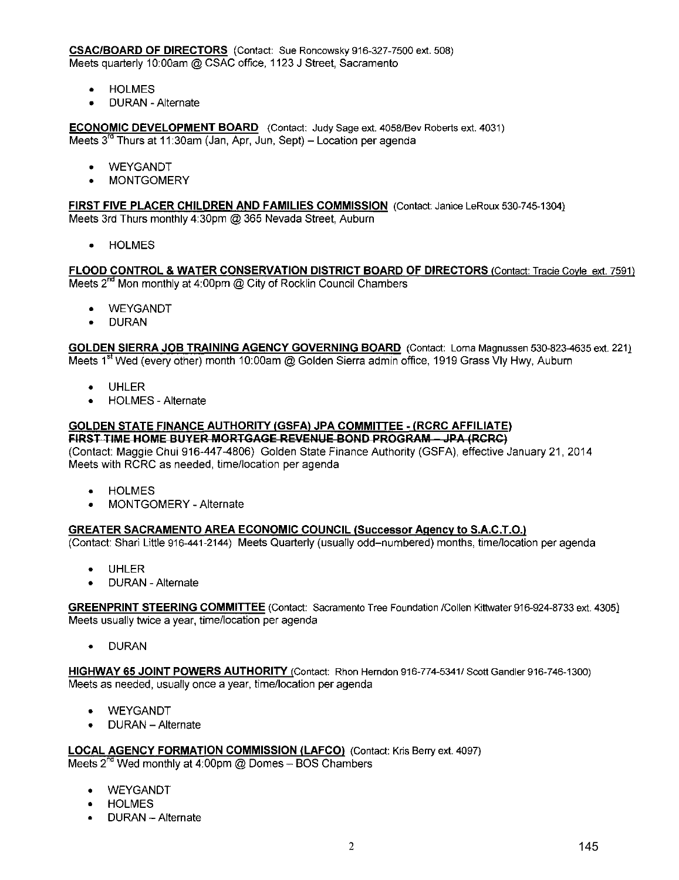**CSAC/BOARD OF DIRECTORS** (Contact: Sue Roncowsky 916-327-7500 ext. 508) Meets quarterly 10:00am @ CSAC office, 1123 J Street, Sacramento

- HOLMES
- DURAN -Alternate

**ECONOMIC DEVELOPMENT BOARD** (Contact: Judy Sage ext. 4058/Bev Roberts ext. 4031) Meets  $3^{rd}$  Thurs at 11:30am (Jan, Apr, Jun, Sept) – Location per agenda

- WEYGANDT
- MONTGOMERY

**FIRST FIVE PLACER CHILDREN AND FAMILIES COMMISSION** (Contact: Janice LeRoux 530-745-1304) Meets 3rd Thurs monthly 4:30pm @ 365 Nevada Street, Auburn

• HOLMES

**FLOOD CONTROL & WATER CONSERVATION DISTRICT BOARD OF DIRECTORS** !Contact: Tracie Coyle ext. 7591) Meets  $2<sup>nd</sup>$  Mon monthly at 4:00pm @ City of Rocklin Council Chambers

- **WEYGANDT**
- DURAN

**GOLDEN SIERRA JOB TRAINING AGENCY GOVERNING BOARD** (Contact: Lama Magnussen 530-823-4635 ext. 221) Meets 1<sup>st</sup> Wed (every other) month 10:00am @ Golden Sierra admin office, 1919 Grass Vly Hwy, Auburn

- UHLER
- HOLMES Alternate

#### **GOLDEN STATE FINANCE AUTHORITY (GSFAl JPA COMMITTEE- (RCRC AFFILIATE) FIRST TIME HOME BUYER MORTGAGE REVENUE BOND PROGRAM - JPA (RCRC)**

(Contact: Maggie Chui 916-447-4806) Golden State Finance Authority (GSFA), effective January 21, 2014 Meets with RCRC as needed, time/location per agenda

- HOLMES
- MONTGOMERY- Alternate

### **GREATER SACRAMENTO AREA ECONOMIC COUNCIL (Successor Agency to S.A.C.T.O.l**

(Contact: Shari Little 916-441-2144) Meets Quarterly (usually odd-numbered) months, time/location per agenda

- UHLER
- DURAN -Alternate

**GREEN PRINT STEERING COMMITTEE** (Contact: Sacramento Tree Foundation /Collen Kittwater 916-924-8733 ext. 4305) Meets usually twice a year, time/location per agenda

• DURAN

**HIGHWAY 65 JOINT POWERS AUTHORITY** (Contact: Rhon Herndon 916-774-5341/ Scott Gandler 916-746-1300) Meets as needed, usually once a year, time/location per agenda

- WEYGANDT
- DURAN -Alternate

**LOCAL AGENCY FORMATION COMMISSION (LAFCO)** (Contact: Kris Berry ext. 4097) Meets  $2^{nd}$  Wed monthly at 4:00pm @ Domes - BOS Chambers

- WEYGANDT
- **HOLMES**
- DURAN- Alternate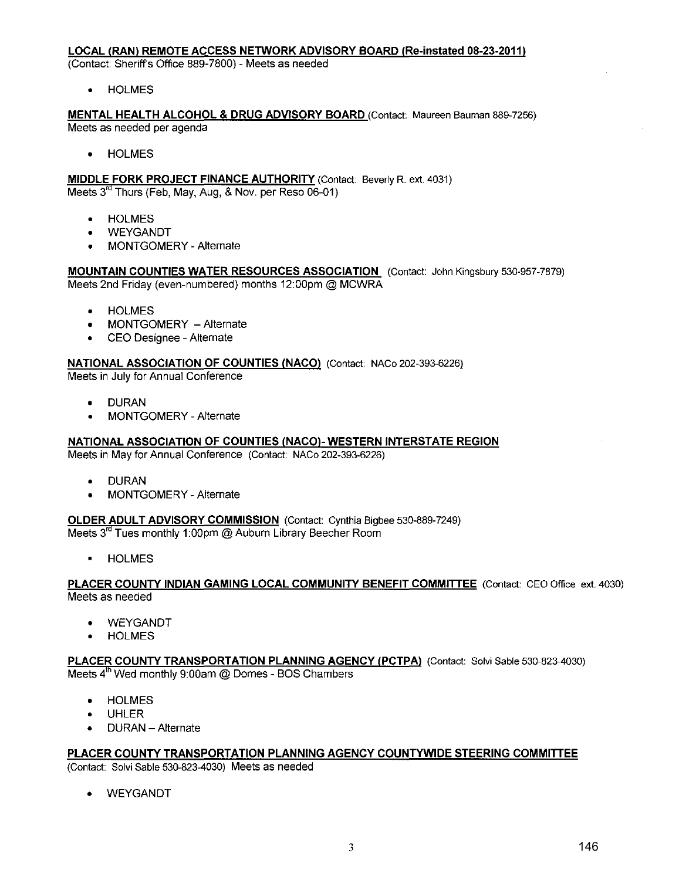### **LOCAL (RAN) REMOTE ACCESS NETWORK ADVISORY BOARD (Re-instated 08-23-2011)**

(Contact: Sheriffs Office 889-7800)- Meets as needed

• HOLMES

**MENTAL HEALTH ALCOHOL & DRUG ADVISORY BOARD** (Contact: Maureen Bauman 889-7256) Meets as needed per agenda

• HOLMES

**MIDDLE FORK PROJECT FINANCE AUTHORITY (Contact: Beverly R. ext. 4031)** Meets  $3<sup>rd</sup>$  Thurs (Feb, May, Aug, & Nov. per Reso 06-01)

- HOLMES
- **WEYGANDT**
- MONTGOMERY Alternate

**MOUNTAIN COUNTIES WATER RESOURCES ASSOCIATION** (Contact: John Kingsbury 530-957-7879) Meets 2nd Friday (even-numbered) months 12:00pm @ MCWRA

- **HOLMES**
- MONTGOMERY Alternate
- CEO Designee Alternate

### **NATIONAL ASSOCIATION OF COUNTIES (NACO)** (Contact: NACo 202-393-6226)

Meets in July for Annual Conference

- DURAN
- MONTGOMERY- Alternate

### **NATIONAL ASSOCIATION OF COUNTIES (NACO)- WESTERN INTERSTATE REGION**

Meets in May for Annual Conference (Contact: NACo 202-393-6226)

- DURAN
- MONTGOMERY- Alternate

**OLDER ADULT ADVISORY COMMISSION** (Contact: Cynthia Bigbee 530-889-7249) Meets 3<sup>rd</sup> Tues monthly 1:00pm @ Auburn Library Beecher Room

• HOLMES

### PLACER COUNTY INDIAN GAMING LOCAL COMMUNITY BENEFIT COMMITTEE (Contact: CEO Office ext. 4030) Meets as needed

**WEYGANDT** 

**HOLMES** 

#### PLACER COUNTY TRANSPORTATION PLANNING AGENCY (PCTPA) (Contact: Solvi Sable 530-823-4030) Meets 4<sup>th</sup> Wed monthly 9:00am @ Domes - BOS Chambers

- HOLMES
- UHLER
- DURAN Alternate

## **PLACER COUNTY TRANSPORTATION PLANNING AGENCY COUNTYWIDE STEERING COMMITTEE**

(Contact: Solvi Sable 530-823-4030) Meets as needed

• WEYGANDT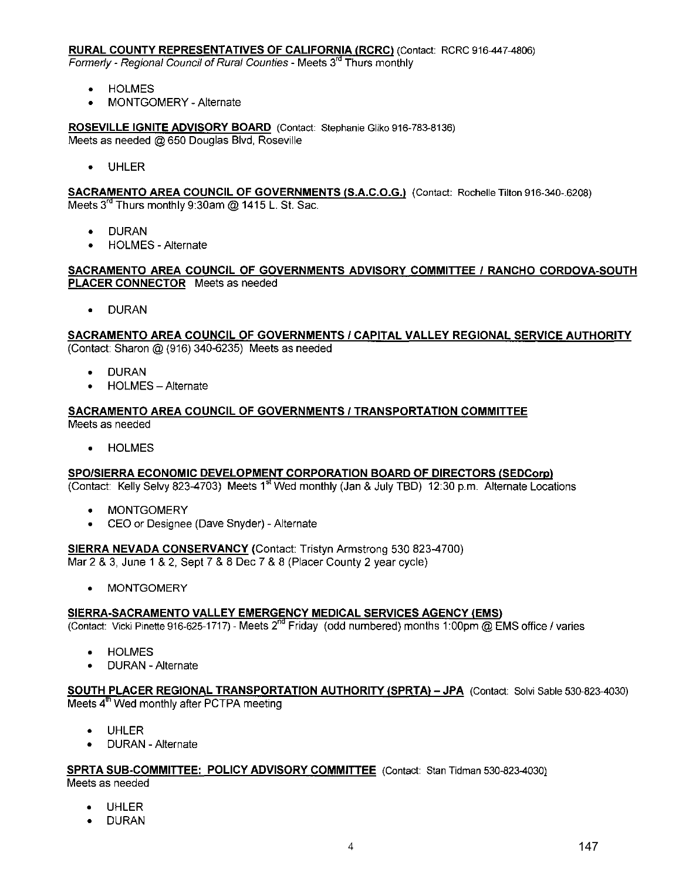### **RURAL COUNTY REPRESENTATIVES OF CALIFORNIA (RCRC) (Contact: RCRC 916-447-4806)**

Formerly - Regional Council of Rural Counties - Meets 3<sup>rd</sup> Thurs monthly

- HOLMES
- MONTGOMERY- Alternate

**ROSEVILLE IGNITE ADVISORY BOARD** (Contact Stephanie Gliko 916-783-8136) Meets as needed @ 650 Douglas Blvd, Roseville

• UHLER

**SACRAMENTO AREA COUNCIL OF GOVERNMENTS (S.A.C.O.G.)** (Contact: Rochelle Tilton 916-340-.6208) Meets 3<sup>rd</sup> Thurs monthly 9:30am @ 1415 L. St. Sac.

- DURAN
- HOLMES- Alternate

### **SACRAMENTO AREA COUNCIL OF GOVERNMENTS ADVISORY COMMITTEE I RANCHO CORDOVA-SOUTH PLACER CONNECTOR** Meets as needed

• DURAN

### **SACRAMENTO AREA COUNCIL OF GOVERNMENTS I CAPITAL VALLEY REGIONAL SERVICE AUTHORITY**  (Contact: Sharon@ (916) 340-6235) Meets as needed

- DURAN
- HOLMES- Alternate

### **SACRAMENTO AREA COUNCIL OF GOVERNMENTS I TRANSPORTATION COMMITTEE**  Meets as needed

• HOLMES

### **SPO/SIERRA ECONOMIC DEVELOPMENT CORPORATION BOARD OF DIRECTORS (SEDCorp)**

(Contact: Kelly Selvy 823-4703) Meets 1<sup>st</sup> Wed monthly (Jan & July TBD) 12:30 p.m. Alternate Locations

- **MONTGOMERY**
- CEO or Designee (Dave Snyder)- Alternate

### **SIERRA NEVADA CONSERVANCY** (Contact: Tristyn Armstrong 530 823-4700)

Mar 2 & 3, June 1 & 2, Sept 7 & 8 Dec 7 & 8 (Placer County 2 year cycle)

**MONTGOMERY** 

### **SIERRA-SACRAMENTO VALLEY EMERGENCY MEDICAL SERVICES AGENCY (EMS)**

(Contact: Vicki Pinette 916-625-1717) - Meets 2<sup>nd</sup> Friday (odd numbered) months 1:00pm @ EMS office / varies

- **HOLMES**
- DURAN Alternate

### **SOUTH PLACER REGIONAL TRANSPORTATION AUTHORITY ISPRTA)- JPA** (Contact Salvi Sable 530-823-4030) Meets 4<sup>th</sup> Wed monthly after PCTPA meeting

- UHLER
- DURAN Alternate

# **SPRTA SUB-COMMITTEE: POLICY ADVISORY COMMITTEE** (Contact: Stan Tidman 530-823-4030)

Meets as needed

- **UHLER**
- DURAN